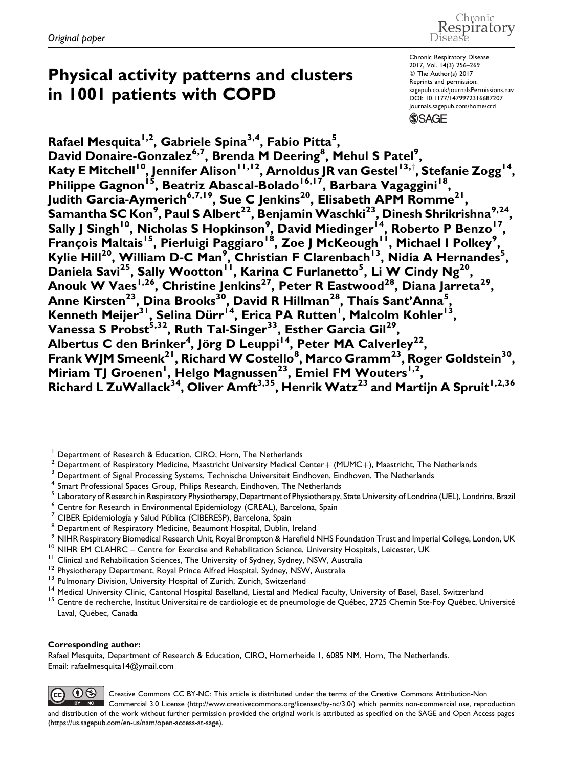#### Chronic espiratory Disease

# Physical activity patterns and clusters in 1001 patients with COPD

Chronic Respiratory Disease 2017, Vol. 14(3) 256–269 © The Author(s) 2017 Reprints and permission: [sagepub.co.uk/journalsPermissions.nav](https://uk.sagepub.com/en-gb/journals-permissions) [DOI: 10.1177/1479972316687207](https://doi.org/10.1177/1479972316687207) [journals.sagepub.com/home/crd](http://journals.sagepub.com/home/crd) **SSAGE** 

Rafael Mesquita<sup>1,2</sup>, Gabriele Spina<sup>3,4</sup>, Fabio Pitta<sup>5</sup>, David Donaire-Gonzalez<sup>6,7</sup>, Brenda M Deering<sup>8</sup>, Mehul S Patel<sup>9</sup>, Katy E Mitchell<sup>10</sup>, Jennifer Alison<sup>11,12</sup>, Arnoldus JR van Gestel<sup>13,†</sup>, Stefanie Zogg<sup>14</sup>, Philippe Gagnon<sup>15</sup>, Beatriz Abascal-Bolado<sup>16,17</sup>, Barbara Vagaggini<sup>18</sup>, Judith Garcia-Aymerich<sup>6,7,19</sup>, Sue C Jenkins<sup>20</sup>, Elisabeth APM Romme<sup>21</sup>  ${\sf Samantha\, SC\, Kon^9,}$  Paul <code>S</code> Albert $^{22}$ , Benjamin Waschki $^{23}$ , Dinesh Shrikrishna $^{9,24},$ Sally J Singh<sup>10</sup>, Nicholas S Hopkinson<sup>9</sup>, David Miedinger<sup>i4</sup>, Roberto P Benzo<sup>17</sup>, François Maltais<sup>15</sup>, Pierluigi Paggiaro<sup>18</sup>, Zoe J McKeough<sup>11</sup>, Michael I Polkey<sup>9</sup>, Kylie Hill<sup>20</sup>, William D-C Man<sup>9</sup>, Christian F Clarenbach<sup>13</sup>, Nidia A Hernandes<sup>5</sup>, Daniela Savi<sup>25</sup>, Sally Wootton<sup>11</sup>, Karina C Furlanetto<sup>5</sup>, Li W Cindy Ng<sup>20</sup>, Anouk W Vaes $^{1,26},$  Christine Jenkins $^{27},$  Peter R Eastwood $^{28},$  Diana Jarreta $^{29},$ Anne Kirsten<sup>23</sup>, Dina Brooks<sup>30</sup>, David R Hillman<sup>28</sup>, Thaís Sant'Anna<sup>5</sup>, Kenneth Meijer<sup>31</sup>, Selina Dürr<sup>14</sup>, Erica PA Rutten<sup>1</sup>, Malcolm Kohler<sup>13</sup>, Vanessa S Probst<sup>5,32</sup>, Ruth Tal-Singer<sup>33</sup>, Esther Garcia Gil<sup>29</sup>, Albertus C den Brinker<sup>4</sup>, Jörg D Leuppi<sup>14</sup>, Peter MA Calverley<sup>22</sup>, Frank WJM Smeenk $^{21}$ , Richard W Costello $^{8}$ , Marco Gramm $^{23}$ , Roger Goldstein $^{30}$ , Miriam TJ Groenen<sup>1</sup>, Helgo Magnussen<sup>23</sup>, Emiel FM Wouters<sup>1,2</sup>, Richard L ZuWallack $^{34}$ , Oliver Amft $^{3,35}$ , Henrik Watz $^{23}$  and Martijn A Spruit $^{1,2,36}$ 

- <sup>6</sup> Centre for Research in Environmental Epidemiology (CREAL), Barcelona, Spain
- 

- 
- 
- 

#### Corresponding author:

 $(cc)$ 

Rafael Mesquita, Department of Research & Education, CIRO, Hornerheide 1, 6085 NM, Horn, The Netherlands. Email: rafaelmesquita14@ymail.com

 $\Theta$ Creative Commons CC BY-NC: This article is distributed under the terms of the Creative Commons Attribution-Non Commercial 3.0 License (http://www.creativecommons.org/licenses/by-nc/3.0/) which permits non-commercial use, reproduction and distribution of the work without further permission provided the original work is attributed as specified on the SAGE and Open Access pages (https://us.sagepub.com/en-us/nam/open-access-at-sage).

<sup>1</sup> Department of Research & Education, CIRO, Horn, The Netherlands

Department of Respiratory Medicine, Maastricht University Medical Center+ (MUMC+), Maastricht, The Netherlands<br>Department of Signal Processing Systems, Technische Universiteit Eindhoven, Eindhoven, The Netherlands

<sup>&</sup>lt;sup>4</sup> Smart Professional Spaces Group, Philips Research, Eindhoven, The Netherlands

Laboratory of Research in Respiratory Physiotherapy, Department of Physiotherapy, State University of Londrina (UEL), Londrina, Brazil

<sup>&</sup>lt;sup>7</sup> CIBER Epidemiología y Salud Pública (CIBERESP), Barcelona, Spain<br><sup>8</sup> Department of Respiratory Medicine, Beaumont Hospital, Dublin, Ireland<br><sup>9</sup> NIHR Respiratory Biomedical Research Unit, Royal Brompton & Harefield NHS <sup>10</sup> NIHR EM CLAHRC – Centre for Exercise and Rehabilitation Science, University Hospitals, Leicester, UK<br><sup>11</sup> Clinical and Rehabilitation Sciences, The University of Sydney, Sydney, NSW, Australia<br><sup>12</sup> Physiotherapy Depa

Laval, Québec, Canada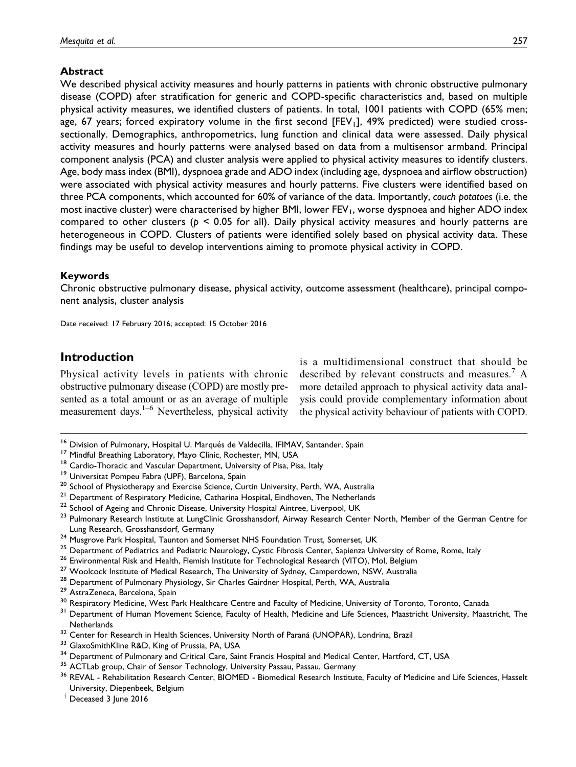### Abstract

We described physical activity measures and hourly patterns in patients with chronic obstructive pulmonary disease (COPD) after stratification for generic and COPD-specific characteristics and, based on multiple physical activity measures, we identified clusters of patients. In total, 1001 patients with COPD (65% men; age, 67 years; forced expiratory volume in the first second  $[FEV<sub>1</sub>]$ , 49% predicted) were studied crosssectionally. Demographics, anthropometrics, lung function and clinical data were assessed. Daily physical activity measures and hourly patterns were analysed based on data from a multisensor armband. Principal component analysis (PCA) and cluster analysis were applied to physical activity measures to identify clusters. Age, body mass index (BMI), dyspnoea grade and ADO index (including age, dyspnoea and airflow obstruction) were associated with physical activity measures and hourly patterns. Five clusters were identified based on three PCA components, which accounted for 60% of variance of the data. Importantly, couch potatoes (i.e. the most inactive cluster) were characterised by higher BMI, lower FEV<sub>1</sub>, worse dyspnoea and higher ADO index compared to other clusters ( $p < 0.05$  for all). Daily physical activity measures and hourly patterns are heterogeneous in COPD. Clusters of patients were identified solely based on physical activity data. These findings may be useful to develop interventions aiming to promote physical activity in COPD.

### Keywords

Chronic obstructive pulmonary disease, physical activity, outcome assessment (healthcare), principal component analysis, cluster analysis

Date received: 17 February 2016; accepted: 15 October 2016

### Introduction

Physical activity levels in patients with chronic obstructive pulmonary disease (COPD) are mostly presented as a total amount or as an average of multiple measurement days. $1-6$  Nevertheless, physical activity

is a multidimensional construct that should be described by relevant constructs and measures.<sup>7</sup> A more detailed approach to physical activity data analysis could provide complementary information about the physical activity behaviour of patients with COPD.

- 
- 
- 
- 
- 
- 
- 
- <sup>16</sup> Division of Pulmonary, Hospital U. Marqués de Valdecilla, IFIMAV, Santander, Spain<br><sup>17</sup> Mindful Breathing Laboratory, Mayo Clinic, Rochester, MN, USA<br><sup>18</sup> Cardio-Thoracic and Vascular Department, University of Pisa, P Lung Research, Grosshansdorf, Germany<br>
<sup>24</sup> Musgrove Park Hospital, Taunton and Somerset NHS Foundation Trust, Somerset, UK<br>
<sup>25</sup> Department of Pediatrics and Pediatric Neurology, Cystic Fibrosis Center, Sapienza Universit
- 
- 
- 
- 
- 
- 
- 
- 
- 
- 
- 
- 
- Netherlands<br><sup>32</sup> Center for Research in Health Sciences, University North of Paraná (UNOPAR), Londrina, Brazil<br><sup>33</sup> GlaxoSmithKline R&D, King of Prussia, PA, USA<br><sup>34</sup> Department of Pulmonary and Critical Care, Saint Franci University, Diepenbeek, Belgium
- $\dagger$  Deceased 3 June 2016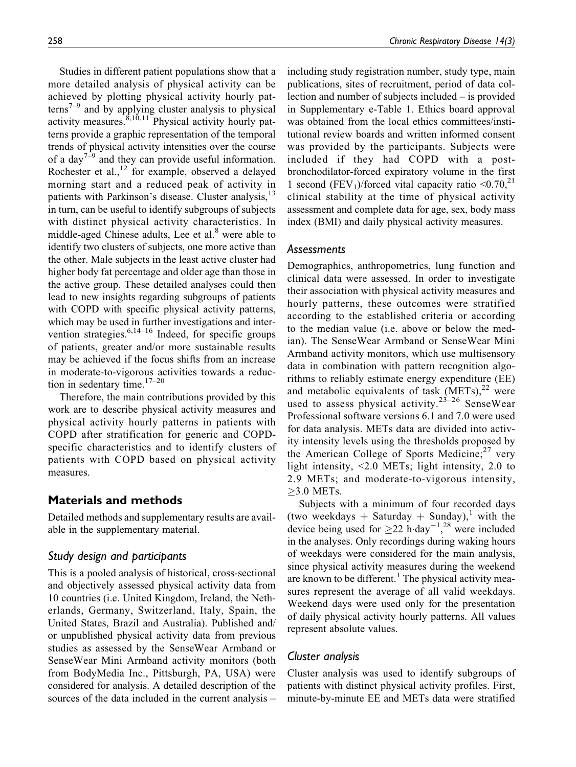Studies in different patient populations show that a more detailed analysis of physical activity can be achieved by plotting physical activity hourly patterns<sup> $7-9$ </sup> and by applying cluster analysis to physical activity measures.  $8,10,11$  Physical activity hourly patterns provide a graphic representation of the temporal trends of physical activity intensities over the course of a day<sup> $7-9$ </sup> and they can provide useful information. Rochester et al., $12 \text{ for example, observed a delayed}$ morning start and a reduced peak of activity in patients with Parkinson's disease. Cluster analysis,<sup>13</sup> in turn, can be useful to identify subgroups of subjects with distinct physical activity characteristics. In middle-aged Chinese adults, Lee et al. $8$  were able to identify two clusters of subjects, one more active than the other. Male subjects in the least active cluster had higher body fat percentage and older age than those in the active group. These detailed analyses could then lead to new insights regarding subgroups of patients with COPD with specific physical activity patterns, which may be used in further investigations and intervention strategies. $6,14-16$  Indeed, for specific groups of patients, greater and/or more sustainable results may be achieved if the focus shifts from an increase in moderate-to-vigorous activities towards a reduction in sedentary time. $17-20$ 

Therefore, the main contributions provided by this work are to describe physical activity measures and physical activity hourly patterns in patients with COPD after stratification for generic and COPDspecific characteristics and to identify clusters of patients with COPD based on physical activity measures.

# Materials and methods

Detailed methods and supplementary results are available in the supplementary material.

# Study design and participants

This is a pooled analysis of historical, cross-sectional and objectively assessed physical activity data from 10 countries (i.e. United Kingdom, Ireland, the Netherlands, Germany, Switzerland, Italy, Spain, the United States, Brazil and Australia). Published and/ or unpublished physical activity data from previous studies as assessed by the SenseWear Armband or SenseWear Mini Armband activity monitors (both from BodyMedia Inc., Pittsburgh, PA, USA) were considered for analysis. A detailed description of the sources of the data included in the current analysis – including study registration number, study type, main publications, sites of recruitment, period of data collection and number of subjects included – is provided in Supplementary e-Table 1. Ethics board approval was obtained from the local ethics committees/institutional review boards and written informed consent was provided by the participants. Subjects were included if they had COPD with a postbronchodilator-forced expiratory volume in the first 1 second (FEV<sub>1</sub>)/forced vital capacity ratio  $\leq 0.70$ ,<sup>21</sup> clinical stability at the time of physical activity assessment and complete data for age, sex, body mass index (BMI) and daily physical activity measures.

### **Assessments**

Demographics, anthropometrics, lung function and clinical data were assessed. In order to investigate their association with physical activity measures and hourly patterns, these outcomes were stratified according to the established criteria or according to the median value (i.e. above or below the median). The SenseWear Armband or SenseWear Mini Armband activity monitors, which use multisensory data in combination with pattern recognition algorithms to reliably estimate energy expenditure (EE) and metabolic equivalents of task  $(METs)$ ,<sup>22</sup> were used to assess physical activity.<sup>23–26</sup> SenseWear Professional software versions 6.1 and 7.0 were used for data analysis. METs data are divided into activity intensity levels using the thresholds proposed by the American College of Sports Medicine; $27$  very light intensity, <2.0 METs; light intensity, 2.0 to 2.9 METs; and moderate-to-vigorous intensity,  $\geq$ 3.0 METs.

Subjects with a minimum of four recorded days (two weekdays + Saturday + Sunday),<sup>1</sup> with the device being used for  $\geq$  22 h $\cdot$  day<sup>-1</sup>,<sup>28</sup> were included in the analyses. Only recordings during waking hours of weekdays were considered for the main analysis, since physical activity measures during the weekend are known to be different.<sup>1</sup> The physical activity measures represent the average of all valid weekdays. Weekend days were used only for the presentation of daily physical activity hourly patterns. All values represent absolute values.

# Cluster analysis

Cluster analysis was used to identify subgroups of patients with distinct physical activity profiles. First, minute-by-minute EE and METs data were stratified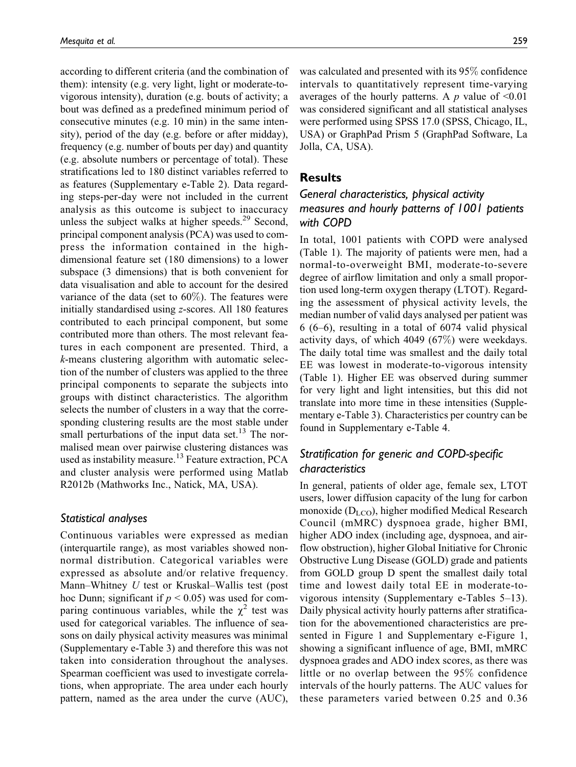according to different criteria (and the combination of them): intensity (e.g. very light, light or moderate-tovigorous intensity), duration (e.g. bouts of activity; a bout was defined as a predefined minimum period of consecutive minutes (e.g. 10 min) in the same intensity), period of the day (e.g. before or after midday), frequency (e.g. number of bouts per day) and quantity (e.g. absolute numbers or percentage of total). These stratifications led to 180 distinct variables referred to as features (Supplementary e-Table 2). Data regarding steps-per-day were not included in the current analysis as this outcome is subject to inaccuracy unless the subject walks at higher speeds. $29$  Second, principal component analysis (PCA) was used to compress the information contained in the highdimensional feature set (180 dimensions) to a lower subspace (3 dimensions) that is both convenient for data visualisation and able to account for the desired variance of the data (set to  $60\%$ ). The features were initially standardised using z-scores. All 180 features contributed to each principal component, but some contributed more than others. The most relevant features in each component are presented. Third, a k-means clustering algorithm with automatic selection of the number of clusters was applied to the three principal components to separate the subjects into groups with distinct characteristics. The algorithm selects the number of clusters in a way that the corresponding clustering results are the most stable under small perturbations of the input data set. $^{13}$  The normalised mean over pairwise clustering distances was used as instability measure.<sup>13</sup> Feature extraction, PCA and cluster analysis were performed using Matlab R2012b (Mathworks Inc., Natick, MA, USA).

### Statistical analyses

Continuous variables were expressed as median (interquartile range), as most variables showed nonnormal distribution. Categorical variables were expressed as absolute and/or relative frequency. Mann–Whitney U test or Kruskal–Wallis test (post hoc Dunn; significant if  $p < 0.05$ ) was used for comparing continuous variables, while the  $\chi^2$  test was used for categorical variables. The influence of seasons on daily physical activity measures was minimal (Supplementary e-Table 3) and therefore this was not taken into consideration throughout the analyses. Spearman coefficient was used to investigate correlations, when appropriate. The area under each hourly pattern, named as the area under the curve (AUC),

was calculated and presented with its 95% confidence intervals to quantitatively represent time-varying averages of the hourly patterns. A  $p$  value of <0.01 was considered significant and all statistical analyses were performed using SPSS 17.0 (SPSS, Chicago, IL, USA) or GraphPad Prism 5 (GraphPad Software, La Jolla, CA, USA).

### **Results**

# General characteristics, physical activity measures and hourly patterns of 1001 patients with COPD

In total, 1001 patients with COPD were analysed (Table 1). The majority of patients were men, had a normal-to-overweight BMI, moderate-to-severe degree of airflow limitation and only a small proportion used long-term oxygen therapy (LTOT). Regarding the assessment of physical activity levels, the median number of valid days analysed per patient was 6 (6–6), resulting in a total of 6074 valid physical activity days, of which 4049 (67%) were weekdays. The daily total time was smallest and the daily total EE was lowest in moderate-to-vigorous intensity (Table 1). Higher EE was observed during summer for very light and light intensities, but this did not translate into more time in these intensities (Supplementary e-Table 3). Characteristics per country can be found in Supplementary e-Table 4.

# Stratification for generic and COPD-specific characteristics

In general, patients of older age, female sex, LTOT users, lower diffusion capacity of the lung for carbon monoxide ( $D_{LCO}$ ), higher modified Medical Research Council (mMRC) dyspnoea grade, higher BMI, higher ADO index (including age, dyspnoea, and airflow obstruction), higher Global Initiative for Chronic Obstructive Lung Disease (GOLD) grade and patients from GOLD group D spent the smallest daily total time and lowest daily total EE in moderate-tovigorous intensity (Supplementary e-Tables 5–13). Daily physical activity hourly patterns after stratification for the abovementioned characteristics are presented in Figure 1 and Supplementary e-Figure 1, showing a significant influence of age, BMI, mMRC dyspnoea grades and ADO index scores, as there was little or no overlap between the 95% confidence intervals of the hourly patterns. The AUC values for these parameters varied between 0.25 and 0.36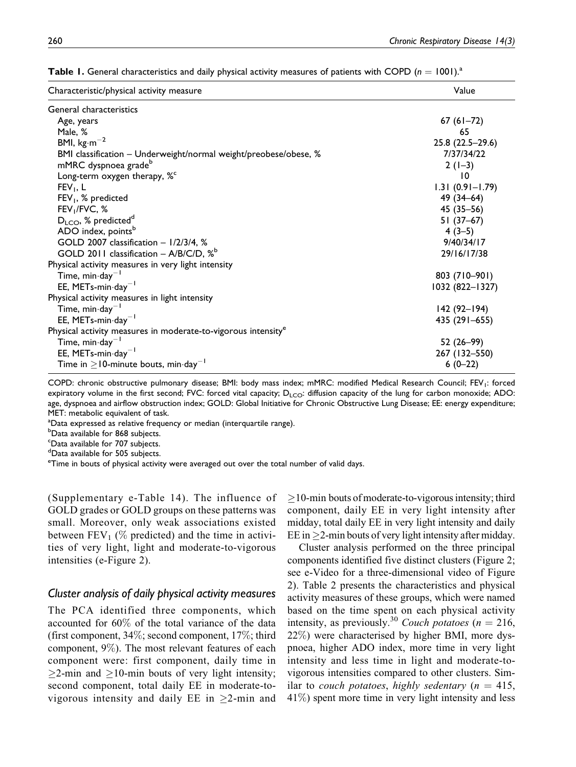| Characteristic/physical activity measure                                  | Value               |
|---------------------------------------------------------------------------|---------------------|
| General characteristics                                                   |                     |
| Age, years                                                                | $67(61-72)$         |
| Male, %                                                                   | 65                  |
| BMI, $kg·m-2$                                                             | 25.8 (22.5-29.6)    |
| BMI classification - Underweight/normal weight/preobese/obese, %          | 7/37/34/22          |
| mMRC dyspnoea grade <sup>b</sup>                                          | $2(1-3)$            |
| Long-term oxygen therapy, % <sup>c</sup>                                  | $\overline{10}$     |
| $FEV_1$ , L                                                               | $1.31(0.91 - 1.79)$ |
| $FEV1$ , % predicted                                                      | 49 (34-64)          |
| FEV <sub>1</sub> /FVC, %                                                  | $45(35 - 56)$       |
| $D_{LCO}$ , % predicted <sup>d</sup>                                      | $51(37-67)$         |
| ADO index, points <sup>b</sup>                                            | $4(3-5)$            |
| GOLD 2007 classification - 1/2/3/4, %                                     | 9/40/34/17          |
| GOLD 2011 classification - $A/B/C/D$ , $\%^b$                             | 29/16/17/38         |
| Physical activity measures in very light intensity                        |                     |
| Time, min $\cdot$ day <sup>-1</sup>                                       | 803 (710-901)       |
| EE, METs-min-day <sup>-1</sup>                                            | 1032 (822-1327)     |
| Physical activity measures in light intensity                             |                     |
| Time, min $\cdot$ day <sup>-1</sup>                                       | $142(92 - 194)$     |
| EE, METs-min $\cdot$ day <sup>-1</sup>                                    | 435 (291–655)       |
| Physical activity measures in moderate-to-vigorous intensity <sup>e</sup> |                     |
| Time, min $\cdot$ day <sup>-1</sup>                                       | 52 (26-99)          |
| EE, METs-min $\cdot$ day <sup>-1</sup>                                    | 267 (132-550)       |
| Time in $\geq$ 10-minute bouts, min $\cdot$ day <sup>-1</sup>             | $6(0-22)$           |

**Table 1.** General characteristics and daily physical activity measures of patients with COPD  $(n = 1001)^{a}$ 

COPD: chronic obstructive pulmonary disease; BMI: body mass index; mMRC: modified Medical Research Council; FEV<sub>1</sub>: forced expiratory volume in the first second; FVC: forced vital capacity;  $D_{\text{ICO}}$ : diffusion capacity of the lung for carbon monoxide; ADO: age, dyspnoea and airflow obstruction index; GOLD: Global Initiative for Chronic Obstructive Lung Disease; EE: energy expenditure; MET: metabolic equivalent of task.

<sup>a</sup>Data expressed as relative frequency or median (interquartile range).

**b**<br>Data available for 868 subjects.

<sup>c</sup>Data available for 707 subjects.

d Data available for 505 subjects.

<sup>e</sup>Time in bouts of physical activity were averaged out over the total number of valid days.

(Supplementary e-Table 14). The influence of GOLD grades or GOLD groups on these patterns was small. Moreover, only weak associations existed between  $FEV_1$  (% predicted) and the time in activities of very light, light and moderate-to-vigorous intensities (e-Figure 2).

### Cluster analysis of daily physical activity measures

The PCA identified three components, which accounted for 60% of the total variance of the data (first component, 34%; second component, 17%; third component, 9%). The most relevant features of each component were: first component, daily time in  $\geq$ 2-min and  $\geq$ 10-min bouts of very light intensity; second component, total daily EE in moderate-tovigorous intensity and daily EE in  $\geq$ 2-min and

 $\geq$ 10-min bouts of moderate-to-vigorous intensity; third component, daily EE in very light intensity after midday, total daily EE in very light intensity and daily EE in  $\geq$ 2-min bouts of very light intensity after midday.

Cluster analysis performed on the three principal components identified five distinct clusters (Figure 2; see e-Video for a three-dimensional video of Figure 2). Table 2 presents the characteristics and physical activity measures of these groups, which were named based on the time spent on each physical activity intensity, as previously.<sup>30</sup> Couch potatoes ( $n = 216$ , 22%) were characterised by higher BMI, more dyspnoea, higher ADO index, more time in very light intensity and less time in light and moderate-tovigorous intensities compared to other clusters. Similar to couch potatoes, highly sedentary ( $n = 415$ ,  $41\%$ ) spent more time in very light intensity and less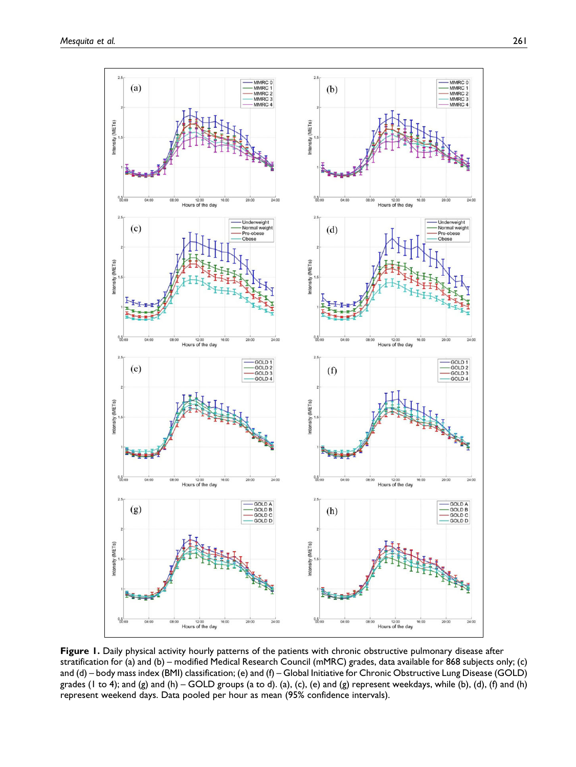

Figure 1. Daily physical activity hourly patterns of the patients with chronic obstructive pulmonary disease after stratification for (a) and (b) – modified Medical Research Council (mMRC) grades, data available for 868 subjects only; (c) and (d) – body mass index (BMI) classification; (e) and (f) – Global Initiative for Chronic Obstructive Lung Disease (GOLD) grades (1 to 4); and (g) and (h) – GOLD groups (a to d). (a), (c), (e) and (g) represent weekdays, while (b), (d), (f) and (h) represent weekend days. Data pooled per hour as mean (95% confidence intervals).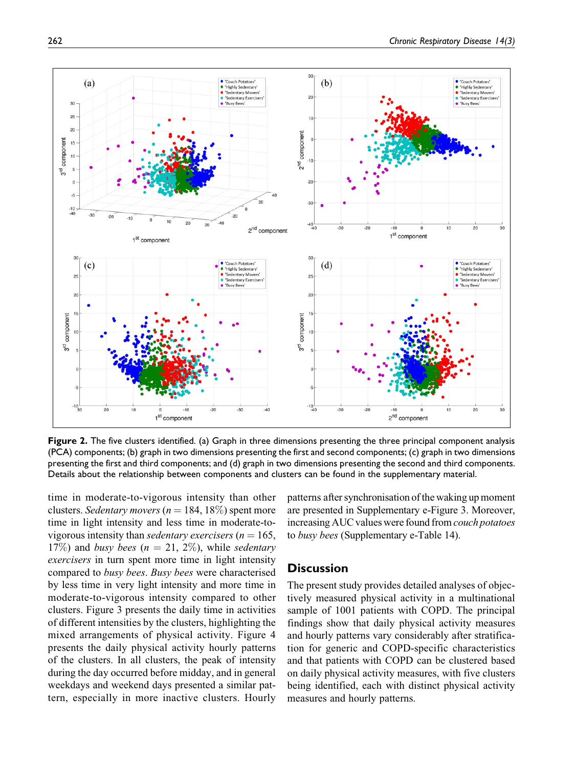

Figure 2. The five clusters identified. (a) Graph in three dimensions presenting the three principal component analysis (PCA) components; (b) graph in two dimensions presenting the first and second components; (c) graph in two dimensions presenting the first and third components; and (d) graph in two dimensions presenting the second and third components. Details about the relationship between components and clusters can be found in the supplementary material.

time in moderate-to-vigorous intensity than other clusters. Sedentary movers ( $n = 184, 18\%$ ) spent more time in light intensity and less time in moderate-tovigorous intensity than *sedentary exercisers* ( $n = 165$ , 17%) and busy bees ( $n = 21, 2\%$ ), while sedentary exercisers in turn spent more time in light intensity compared to busy bees. Busy bees were characterised by less time in very light intensity and more time in moderate-to-vigorous intensity compared to other clusters. Figure 3 presents the daily time in activities of different intensities by the clusters, highlighting the mixed arrangements of physical activity. Figure 4 presents the daily physical activity hourly patterns of the clusters. In all clusters, the peak of intensity during the day occurred before midday, and in general weekdays and weekend days presented a similar pattern, especially in more inactive clusters. Hourly patterns after synchronisation of the waking up moment are presented in Supplementary e-Figure 3. Moreover, increasing AUC values were found from couch potatoes to busy bees (Supplementary e-Table 14).

### **Discussion**

The present study provides detailed analyses of objectively measured physical activity in a multinational sample of 1001 patients with COPD. The principal findings show that daily physical activity measures and hourly patterns vary considerably after stratification for generic and COPD-specific characteristics and that patients with COPD can be clustered based on daily physical activity measures, with five clusters being identified, each with distinct physical activity measures and hourly patterns.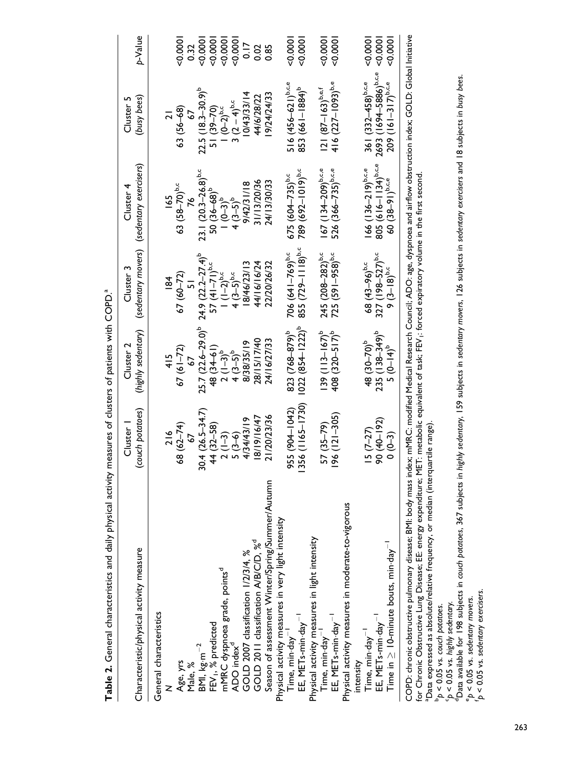| Table 2. General characteristics and daily physical activity measures of clusters of patients with COPD. <sup>4</sup>                                                                                                                                                                                                                                                                                                                      |                            |                                 |                                  |                                                        |                                   |           |
|--------------------------------------------------------------------------------------------------------------------------------------------------------------------------------------------------------------------------------------------------------------------------------------------------------------------------------------------------------------------------------------------------------------------------------------------|----------------------------|---------------------------------|----------------------------------|--------------------------------------------------------|-----------------------------------|-----------|
| Characteristic/physical activity measure                                                                                                                                                                                                                                                                                                                                                                                                   | couch potatoes)<br>Cluster | (highly sedentary)<br>Cluster 2 | Cluster 3                        | (sedentary movers) (sedentary exercisers)<br>Cluster 4 | (busy bees)<br>Cluster 5          | p-Value   |
| General characteristics                                                                                                                                                                                                                                                                                                                                                                                                                    |                            |                                 |                                  |                                                        |                                   |           |
|                                                                                                                                                                                                                                                                                                                                                                                                                                            |                            | $\frac{415}{1}$                 | $\frac{8}{3}$                    | <u>یع</u>                                              |                                   |           |
|                                                                                                                                                                                                                                                                                                                                                                                                                                            | 68 (62-74)                 | $67(61-72)$                     | 67 (60-72)                       | 63 (58-70) <sup>b,c</sup>                              | $63(56-68)$                       | 0.000     |
| Age, yrs<br>Male, %                                                                                                                                                                                                                                                                                                                                                                                                                        |                            |                                 |                                  |                                                        |                                   | 0.32      |
| BMI, kg·m $^{-2}$<br>FEV <sub>I</sub> , % predicted                                                                                                                                                                                                                                                                                                                                                                                        | $30.4(26.5 - 34.7)$        | $25.7(22.6-29.0)^b$             | $24.9 (22.2 - 27.4)^b$           | $23.1(20.3-26.8)^{b.c}$                                | $22.5(18.3-30.9)^b$               | 0000      |
|                                                                                                                                                                                                                                                                                                                                                                                                                                            | 44 (32-58)                 | 48 (34–61)                      | $57(41-71)^{b,c}$                | $50(36-68)^b$                                          | 51 (39-70)                        | 0000      |
|                                                                                                                                                                                                                                                                                                                                                                                                                                            | $2(1-3)$                   | $2(1-3)^{b}$                    | $1(1-2)^{b,c}$                   | $(0-3)^{p}$                                            | $(0-2)^{b,c}$                     | 0000      |
| mMRC dyspnoea grade, points <sup>d</sup><br>ADO index <sup>d</sup>                                                                                                                                                                                                                                                                                                                                                                         | $5(3-6)$                   | $4(3-5)^{b}$                    | $4(3-5)^{b,c}$                   | $4(3-5)^{b}$                                           | 3 $(2-4)^{b,c}$                   | 0000      |
| GOLD 2007 classification 1/2/3/4, %                                                                                                                                                                                                                                                                                                                                                                                                        | 4/34/43/19                 | 8/38/35/19                      | 8/46/23/13                       | 9/42/31/18                                             | 0/43/33/14                        | 0.17      |
| GOLD 2011 classification A/B/C/D, % <sup>d</sup>                                                                                                                                                                                                                                                                                                                                                                                           | 18/19/16/47                | 28/15/17/40                     | 44/16/16/24                      | 31/13/20/36                                            | 44/6/28/22                        | 0.02      |
| Season of assessment Winter/Spring/Summer/Autumn                                                                                                                                                                                                                                                                                                                                                                                           | 21/20/23/36                | 24/16/27/33                     | 22/20/26/32                      | 24/13/30/33                                            | 9/24/24/33                        | 0.85      |
| Physical activity measures in very light intensity                                                                                                                                                                                                                                                                                                                                                                                         |                            |                                 |                                  |                                                        |                                   |           |
| $Time, min \cdot day-1$                                                                                                                                                                                                                                                                                                                                                                                                                    | 955 (904-1042)             | 823 (768-879) <sup>b</sup>      | 706 $(641 - 769)^{b,c}$          | $675 (604 - 735)^{b,c}$                                | $516(456-621)^{b,c,e}$            | 50001     |
| EE, METs-min-day <sup>-1</sup>                                                                                                                                                                                                                                                                                                                                                                                                             | 356 (1165-1730)            | $022 (854 - 1222)^b$            | $855(729 - 1118)$ <sup>b,c</sup> | 789 (692-1019) <sup>b,c</sup>                          | 853 (661-1884) <sup>b</sup>       | $-0.0001$ |
| Physical activity measures in light intensity                                                                                                                                                                                                                                                                                                                                                                                              |                            |                                 |                                  |                                                        |                                   |           |
| Time, $min\cdot$ $day^{-1}$                                                                                                                                                                                                                                                                                                                                                                                                                | $57(35-79)$                | $139 (113 - 167)^b$             | 245 (208-282) <sup>b,c</sup>     | $167$ (134–209) <sup>b,c,e</sup>                       | $121 (87 - 163)^{b, e, f}$        | $-0.0001$ |
| EE, METs-min-day $^{-1}$                                                                                                                                                                                                                                                                                                                                                                                                                   | $96(121 - 305)$            | 408 (320-517) <sup>b</sup>      | 725 (591-958) <sup>b,c</sup>     | 526 (366-735) <sup>b,c,e</sup>                         | 416 $(227-1093)^{b,e}$            | 00000     |
| Physical activity measures in moderate-to-vigorous                                                                                                                                                                                                                                                                                                                                                                                         |                            |                                 |                                  |                                                        |                                   |           |
| intensity                                                                                                                                                                                                                                                                                                                                                                                                                                  |                            |                                 |                                  |                                                        |                                   |           |
| Time, min·day <sup>-1</sup>                                                                                                                                                                                                                                                                                                                                                                                                                | $15(7-27)$                 | 48 (30-70) <sup>b</sup>         | 68 (43-96) <sup>b,c</sup>        | $166 (136 - 219)^{b.c.e.}$                             | 361 (332-458) <sup>b,c,e</sup>    | 0.0001    |
| EE, METs-min·day <sup>-1</sup>                                                                                                                                                                                                                                                                                                                                                                                                             | 90 (40-192)                | 235 (138-349) <sup>b</sup>      | 327 (198-527) <sup>b,c</sup>     | 805 $(616-1134)^{b.c.e}$                               | 2693 (1694-5886) <sup>b,c,e</sup> | 8000      |
| Time in $\geq 10$ -minute bouts, min $\cdot$ day <sup>-1</sup>                                                                                                                                                                                                                                                                                                                                                                             | $0(0-3)$                   | $5(0-14)^{b}$                   | $9(3-18)^{b,c}$                  | $60(38-91)^{b.c.e.}$                                   | $209$ (161-317) <sup>b,c,e</sup>  | 50001     |
| COPD: chronic obstructive pulmonary disease; BMI: body mass index; mMRC: modified Medical Research Council; ADO: age, dyspnoea and airflow obstruction index; GOLD: Global Initiative<br>for Chronic Obstructive Lung Disease; EE: energy expenditure; MET: metabolic equivalent of task; FEV; forced expiratory volume in the first second<br><sup>a</sup> Data expressed as absolute/relative frequency, or median (interquartile range) |                            |                                 |                                  |                                                        |                                   |           |

 $b_p < 0.05$  vs. couch potatoes.

cp < 0.05 vs. highly sedentary.

b < 0.05 vs. couch potatoes.<br>h < 0.05 vs. couch potatoes.<br>(p < 0.05 vs. highly sedentary.<br>"D < 0.05 vs. highly sedentary movers.<br>"p < 0.05 vs. sedentary movers.<br>"p < 0.05 vs. sedentary exercisers. dData available for 198 subjects in couch potatoes, 367 subjects in highly sedentary, 159 subjects in sedentary movers, 126 subjects in sedentary exercisers and 18 subjects in busy bees.  $e_p < 0.05$  vs. sedentary movers.

 $\mathbf{p} \leq 0.05$  vs. sedentary exercisers.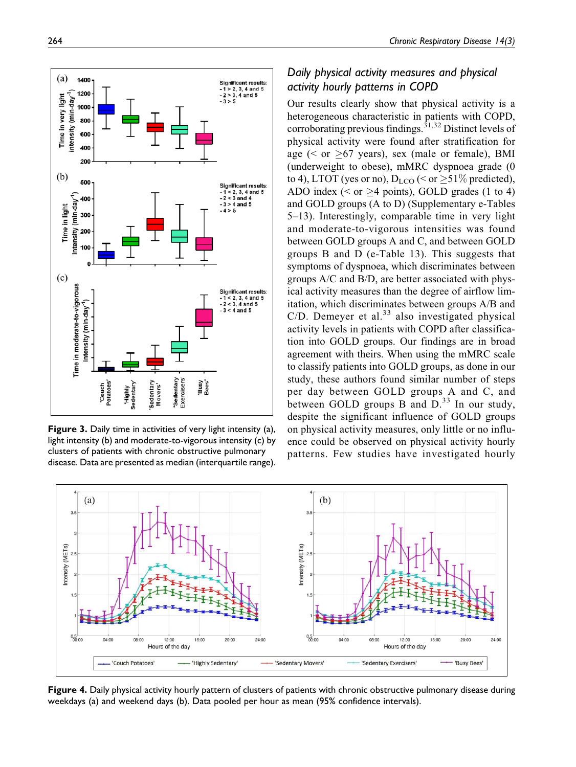Our results clearly show that physical activity is a heterogeneous characteristic in patients with COPD, corroborating previous findings.<sup>31,32</sup> Distinct levels of physical activity were found after stratification for age ( $\le$  or  $\ge$ 67 years), sex (male or female), BMI (underweight to obese), mMRC dyspnoea grade (0 to 4), LTOT (yes or no),  $D_{\text{LCO}}$  ( $\leq$  or  $\geq$ 51% predicted), ADO index ( $\le$  or  $\ge$ 4 points), GOLD grades (1 to 4) and GOLD groups (A to D) (Supplementary e-Tables 5–13). Interestingly, comparable time in very light and moderate-to-vigorous intensities was found between GOLD groups A and C, and between GOLD groups B and D (e-Table 13). This suggests that symptoms of dyspnoea, which discriminates between groups A/C and B/D, are better associated with physical activity measures than the degree of airflow limitation, which discriminates between groups A/B and C/D. Demeyer et al.<sup>33</sup> also investigated physical activity levels in patients with COPD after classification into GOLD groups. Our findings are in broad agreement with theirs. When using the mMRC scale to classify patients into GOLD groups, as done in our study, these authors found similar number of steps per day between GOLD groups A and C, and between GOLD groups B and  $D<sup>33</sup>$  In our study, despite the significant influence of GOLD groups on physical activity measures, only little or no influence could be observed on physical activity hourly patterns. Few studies have investigated hourly



Figure 4. Daily physical activity hourly pattern of clusters of patients with chronic obstructive pulmonary disease during weekdays (a) and weekend days (b). Data pooled per hour as mean (95% confidence intervals).



Figure 3. Daily time in activities of very light intensity (a), light intensity (b) and moderate-to-vigorous intensity (c) by clusters of patients with chronic obstructive pulmonary disease. Data are presented as median (interquartile range).

# Daily physical activity measures and physical activity hourly patterns in COPD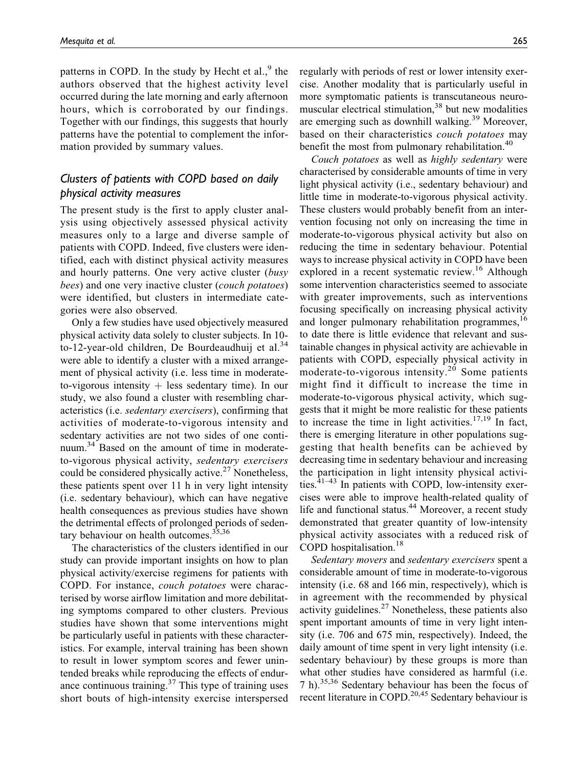patterns in COPD. In the study by Hecht et al., $9$  the authors observed that the highest activity level occurred during the late morning and early afternoon hours, which is corroborated by our findings. Together with our findings, this suggests that hourly patterns have the potential to complement the information provided by summary values.

# Clusters of patients with COPD based on daily physical activity measures

The present study is the first to apply cluster analysis using objectively assessed physical activity measures only to a large and diverse sample of patients with COPD. Indeed, five clusters were identified, each with distinct physical activity measures and hourly patterns. One very active cluster (busy bees) and one very inactive cluster (couch potatoes) were identified, but clusters in intermediate categories were also observed.

Only a few studies have used objectively measured physical activity data solely to cluster subjects. In 10 to-12-year-old children, De Bourdeaudhuij et al. $34$ were able to identify a cluster with a mixed arrangement of physical activity (i.e. less time in moderateto-vigorous intensity  $+$  less sedentary time). In our study, we also found a cluster with resembling characteristics (i.e. sedentary exercisers), confirming that activities of moderate-to-vigorous intensity and sedentary activities are not two sides of one continuum.<sup>34</sup> Based on the amount of time in moderateto-vigorous physical activity, sedentary exercisers could be considered physically active.<sup>27</sup> Nonetheless, these patients spent over 11 h in very light intensity (i.e. sedentary behaviour), which can have negative health consequences as previous studies have shown the detrimental effects of prolonged periods of sedentary behaviour on health outcomes. $35,36$ 

The characteristics of the clusters identified in our study can provide important insights on how to plan physical activity/exercise regimens for patients with COPD. For instance, couch potatoes were characterised by worse airflow limitation and more debilitating symptoms compared to other clusters. Previous studies have shown that some interventions might be particularly useful in patients with these characteristics. For example, interval training has been shown to result in lower symptom scores and fewer unintended breaks while reproducing the effects of endurance continuous training. $37$  This type of training uses short bouts of high-intensity exercise interspersed regularly with periods of rest or lower intensity exercise. Another modality that is particularly useful in more symptomatic patients is transcutaneous neuromuscular electrical stimulation, $38$  but new modalities are emerging such as downhill walking.<sup>39</sup> Moreover, based on their characteristics couch potatoes may benefit the most from pulmonary rehabilitation.<sup>40</sup>

Couch potatoes as well as highly sedentary were characterised by considerable amounts of time in very light physical activity (i.e., sedentary behaviour) and little time in moderate-to-vigorous physical activity. These clusters would probably benefit from an intervention focusing not only on increasing the time in moderate-to-vigorous physical activity but also on reducing the time in sedentary behaviour. Potential ways to increase physical activity in COPD have been explored in a recent systematic review.<sup>16</sup> Although some intervention characteristics seemed to associate with greater improvements, such as interventions focusing specifically on increasing physical activity and longer pulmonary rehabilitation programmes,<sup>16</sup> to date there is little evidence that relevant and sustainable changes in physical activity are achievable in patients with COPD, especially physical activity in moderate-to-vigorous intensity.<sup>20</sup> Some patients might find it difficult to increase the time in moderate-to-vigorous physical activity, which suggests that it might be more realistic for these patients to increase the time in light activities.<sup>17,19</sup> In fact, there is emerging literature in other populations suggesting that health benefits can be achieved by decreasing time in sedentary behaviour and increasing the participation in light intensity physical activities. $41-43$  In patients with COPD, low-intensity exercises were able to improve health-related quality of life and functional status.<sup>44</sup> Moreover, a recent study demonstrated that greater quantity of low-intensity physical activity associates with a reduced risk of COPD hospitalisation.<sup>18</sup>

Sedentary movers and sedentary exercisers spent a considerable amount of time in moderate-to-vigorous intensity (i.e. 68 and 166 min, respectively), which is in agreement with the recommended by physical activity guidelines. $27$  Nonetheless, these patients also spent important amounts of time in very light intensity (i.e. 706 and 675 min, respectively). Indeed, the daily amount of time spent in very light intensity (i.e. sedentary behaviour) by these groups is more than what other studies have considered as harmful (i.e. 7 h).35,36 Sedentary behaviour has been the focus of recent literature in COPD.<sup>20,45</sup> Sedentary behaviour is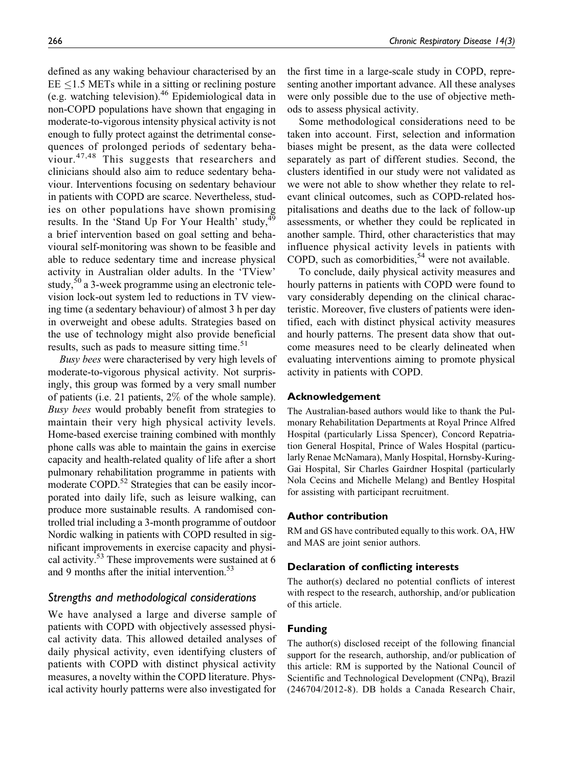defined as any waking behaviour characterised by an  $EE \le 1.5$  METs while in a sitting or reclining posture (e.g. watching television).<sup>46</sup> Epidemiological data in non-COPD populations have shown that engaging in moderate-to-vigorous intensity physical activity is not enough to fully protect against the detrimental consequences of prolonged periods of sedentary behaviour.<sup>47,48</sup> This suggests that researchers and clinicians should also aim to reduce sedentary behaviour. Interventions focusing on sedentary behaviour in patients with COPD are scarce. Nevertheless, studies on other populations have shown promising results. In the 'Stand Up For Your Health' study, <sup>49</sup> a brief intervention based on goal setting and behavioural self-monitoring was shown to be feasible and able to reduce sedentary time and increase physical activity in Australian older adults. In the 'TView' study,<sup>50</sup> a 3-week programme using an electronic television lock-out system led to reductions in TV viewing time (a sedentary behaviour) of almost 3 h per day in overweight and obese adults. Strategies based on the use of technology might also provide beneficial results, such as pads to measure sitting time.<sup>51</sup>

Busy bees were characterised by very high levels of moderate-to-vigorous physical activity. Not surprisingly, this group was formed by a very small number of patients (i.e. 21 patients, 2% of the whole sample). Busy bees would probably benefit from strategies to maintain their very high physical activity levels. Home-based exercise training combined with monthly phone calls was able to maintain the gains in exercise capacity and health-related quality of life after a short pulmonary rehabilitation programme in patients with moderate COPD.<sup>52</sup> Strategies that can be easily incorporated into daily life, such as leisure walking, can produce more sustainable results. A randomised controlled trial including a 3-month programme of outdoor Nordic walking in patients with COPD resulted in significant improvements in exercise capacity and physical activity.53 These improvements were sustained at 6 and 9 months after the initial intervention.<sup>53</sup>

### Strengths and methodological considerations

We have analysed a large and diverse sample of patients with COPD with objectively assessed physical activity data. This allowed detailed analyses of daily physical activity, even identifying clusters of patients with COPD with distinct physical activity measures, a novelty within the COPD literature. Physical activity hourly patterns were also investigated for

the first time in a large-scale study in COPD, representing another important advance. All these analyses were only possible due to the use of objective methods to assess physical activity.

Some methodological considerations need to be taken into account. First, selection and information biases might be present, as the data were collected separately as part of different studies. Second, the clusters identified in our study were not validated as we were not able to show whether they relate to relevant clinical outcomes, such as COPD-related hospitalisations and deaths due to the lack of follow-up assessments, or whether they could be replicated in another sample. Third, other characteristics that may influence physical activity levels in patients with COPD, such as comorbidities,  $54$  were not available.

To conclude, daily physical activity measures and hourly patterns in patients with COPD were found to vary considerably depending on the clinical characteristic. Moreover, five clusters of patients were identified, each with distinct physical activity measures and hourly patterns. The present data show that outcome measures need to be clearly delineated when evaluating interventions aiming to promote physical activity in patients with COPD.

#### Acknowledgement

The Australian-based authors would like to thank the Pulmonary Rehabilitation Departments at Royal Prince Alfred Hospital (particularly Lissa Spencer), Concord Repatriation General Hospital, Prince of Wales Hospital (particularly Renae McNamara), Manly Hospital, Hornsby-Kuring-Gai Hospital, Sir Charles Gairdner Hospital (particularly Nola Cecins and Michelle Melang) and Bentley Hospital for assisting with participant recruitment.

#### Author contribution

RM and GS have contributed equally to this work. OA, HW and MAS are joint senior authors.

#### Declaration of conflicting interests

The author(s) declared no potential conflicts of interest with respect to the research, authorship, and/or publication of this article.

#### Funding

The author(s) disclosed receipt of the following financial support for the research, authorship, and/or publication of this article: RM is supported by the National Council of Scientific and Technological Development (CNPq), Brazil (246704/2012-8). DB holds a Canada Research Chair,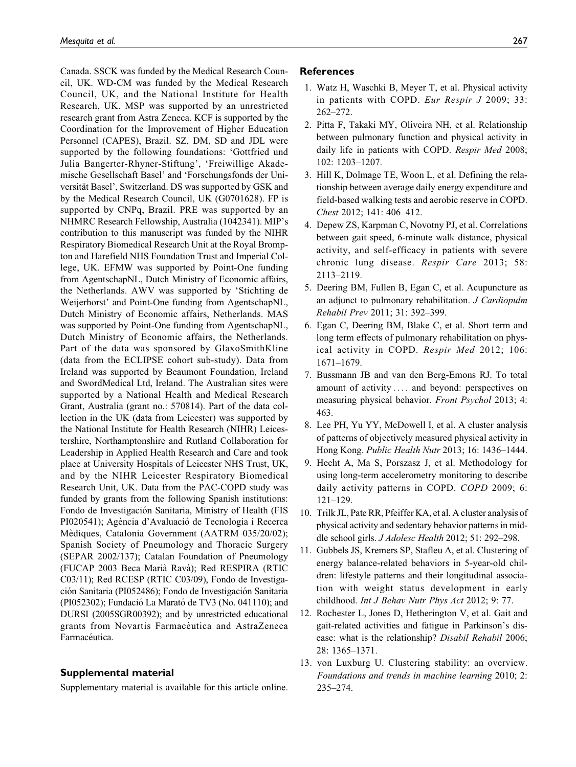Canada. SSCK was funded by the Medical Research Council, UK. WD-CM was funded by the Medical Research Council, UK, and the National Institute for Health Research, UK. MSP was supported by an unrestricted research grant from Astra Zeneca. KCF is supported by the Coordination for the Improvement of Higher Education Personnel (CAPES), Brazil. SZ, DM, SD and JDL were supported by the following foundations: 'Gottfried und Julia Bangerter-Rhyner-Stiftung', 'Freiwillige Akademische Gesellschaft Basel' and 'Forschungsfonds der Universität Basel', Switzerland. DS was supported by GSK and by the Medical Research Council, UK (G0701628). FP is supported by CNPq, Brazil. PRE was supported by an NHMRC Research Fellowship, Australia (1042341). MIP's contribution to this manuscript was funded by the NIHR Respiratory Biomedical Research Unit at the Royal Brompton and Harefield NHS Foundation Trust and Imperial College, UK. EFMW was supported by Point-One funding from AgentschapNL, Dutch Ministry of Economic affairs, the Netherlands. AWV was supported by 'Stichting de Weijerhorst' and Point-One funding from AgentschapNL, Dutch Ministry of Economic affairs, Netherlands. MAS was supported by Point-One funding from AgentschapNL, Dutch Ministry of Economic affairs, the Netherlands. Part of the data was sponsored by GlaxoSmithKline (data from the ECLIPSE cohort sub-study). Data from Ireland was supported by Beaumont Foundation, Ireland and SwordMedical Ltd, Ireland. The Australian sites were supported by a National Health and Medical Research Grant, Australia (grant no.: 570814). Part of the data collection in the UK (data from Leicester) was supported by the National Institute for Health Research (NIHR) Leicestershire, Northamptonshire and Rutland Collaboration for Leadership in Applied Health Research and Care and took place at University Hospitals of Leicester NHS Trust, UK, and by the NIHR Leicester Respiratory Biomedical Research Unit, UK. Data from the PAC-COPD study was funded by grants from the following Spanish institutions: Fondo de Investigación Sanitaria, Ministry of Health (FIS PI020541); Agència d'Avaluació de Tecnologia i Recerca Mèdiques, Catalonia Government (AATRM 035/20/02); Spanish Society of Pneumology and Thoracic Surgery (SEPAR 2002/137); Catalan Foundation of Pneumology (FUCAP 2003 Beca Maria` Rava`); Red RESPIRA (RTIC C03/11); Red RCESP (RTIC C03/09), Fondo de Investigación Sanitaria (PI052486); Fondo de Investigación Sanitaria (PI052302); Fundacio´ La Marato´ de TV3 (No. 041110); and DURSI (2005SGR00392); and by unrestricted educational grants from Novartis Farmaceutica and AstraZeneca Farmacéutica.

#### Supplemental material

Supplementary material is available for this article online.

#### **References**

- 1. Watz H, Waschki B, Meyer T, et al. Physical activity in patients with COPD. Eur Respir J 2009; 33: 262–272.
- 2. Pitta F, Takaki MY, Oliveira NH, et al. Relationship between pulmonary function and physical activity in daily life in patients with COPD. Respir Med 2008; 102: 1203–1207.
- 3. Hill K, Dolmage TE, Woon L, et al. Defining the relationship between average daily energy expenditure and field-based walking tests and aerobic reserve in COPD. Chest 2012; 141: 406–412.
- 4. Depew ZS, Karpman C, Novotny PJ, et al. Correlations between gait speed, 6-minute walk distance, physical activity, and self-efficacy in patients with severe chronic lung disease. Respir Care 2013; 58: 2113–2119.
- 5. Deering BM, Fullen B, Egan C, et al. Acupuncture as an adjunct to pulmonary rehabilitation. J Cardiopulm Rehabil Prev 2011; 31: 392–399.
- 6. Egan C, Deering BM, Blake C, et al. Short term and long term effects of pulmonary rehabilitation on physical activity in COPD. Respir Med 2012; 106: 1671–1679.
- 7. Bussmann JB and van den Berg-Emons RJ. To total amount of activity ... . and beyond: perspectives on measuring physical behavior. Front Psychol 2013; 4: 463.
- 8. Lee PH, Yu YY, McDowell I, et al. A cluster analysis of patterns of objectively measured physical activity in Hong Kong. Public Health Nutr 2013; 16: 1436–1444.
- 9. Hecht A, Ma S, Porszasz J, et al. Methodology for using long-term accelerometry monitoring to describe daily activity patterns in COPD. COPD 2009; 6: 121–129.
- 10. Trilk JL, Pate RR, Pfeiffer KA, et al. A cluster analysis of physical activity and sedentary behavior patterns in middle school girls. J Adolesc Health 2012; 51: 292–298.
- 11. Gubbels JS, Kremers SP, Stafleu A, et al. Clustering of energy balance-related behaviors in 5-year-old children: lifestyle patterns and their longitudinal association with weight status development in early childhood. Int J Behav Nutr Phys Act 2012; 9: 77.
- 12. Rochester L, Jones D, Hetherington V, et al. Gait and gait-related activities and fatigue in Parkinson's disease: what is the relationship? Disabil Rehabil 2006; 28: 1365–1371.
- 13. von Luxburg U. Clustering stability: an overview. Foundations and trends in machine learning 2010; 2: 235–274.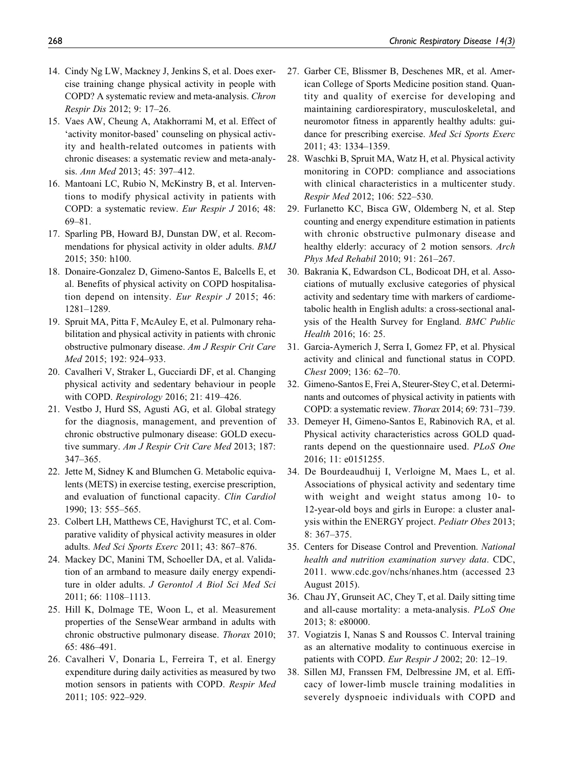- 14. Cindy Ng LW, Mackney J, Jenkins S, et al. Does exercise training change physical activity in people with COPD? A systematic review and meta-analysis. Chron Respir Dis 2012; 9: 17–26.
- 15. Vaes AW, Cheung A, Atakhorrami M, et al. Effect of 'activity monitor-based' counseling on physical activity and health-related outcomes in patients with chronic diseases: a systematic review and meta-analysis. Ann Med 2013; 45: 397–412.
- 16. Mantoani LC, Rubio N, McKinstry B, et al. Interventions to modify physical activity in patients with COPD: a systematic review. Eur Respir J 2016; 48: 69–81.
- 17. Sparling PB, Howard BJ, Dunstan DW, et al. Recommendations for physical activity in older adults. BMJ 2015; 350: h100.
- 18. Donaire-Gonzalez D, Gimeno-Santos E, Balcells E, et al. Benefits of physical activity on COPD hospitalisation depend on intensity. Eur Respir J 2015; 46: 1281–1289.
- 19. Spruit MA, Pitta F, McAuley E, et al. Pulmonary rehabilitation and physical activity in patients with chronic obstructive pulmonary disease. Am J Respir Crit Care Med 2015; 192: 924–933.
- 20. Cavalheri V, Straker L, Gucciardi DF, et al. Changing physical activity and sedentary behaviour in people with COPD. Respirology 2016; 21: 419–426.
- 21. Vestbo J, Hurd SS, Agusti AG, et al. Global strategy for the diagnosis, management, and prevention of chronic obstructive pulmonary disease: GOLD executive summary. Am J Respir Crit Care Med 2013; 187: 347–365.
- 22. Jette M, Sidney K and Blumchen G. Metabolic equivalents (METS) in exercise testing, exercise prescription, and evaluation of functional capacity. Clin Cardiol 1990; 13: 555–565.
- 23. Colbert LH, Matthews CE, Havighurst TC, et al. Comparative validity of physical activity measures in older adults. Med Sci Sports Exerc 2011; 43: 867–876.
- 24. Mackey DC, Manini TM, Schoeller DA, et al. Validation of an armband to measure daily energy expenditure in older adults. J Gerontol A Biol Sci Med Sci 2011; 66: 1108–1113.
- 25. Hill K, Dolmage TE, Woon L, et al. Measurement properties of the SenseWear armband in adults with chronic obstructive pulmonary disease. Thorax 2010; 65: 486–491.
- 26. Cavalheri V, Donaria L, Ferreira T, et al. Energy expenditure during daily activities as measured by two motion sensors in patients with COPD. Respir Med 2011; 105: 922–929.
- 27. Garber CE, Blissmer B, Deschenes MR, et al. American College of Sports Medicine position stand. Quantity and quality of exercise for developing and maintaining cardiorespiratory, musculoskeletal, and neuromotor fitness in apparently healthy adults: guidance for prescribing exercise. Med Sci Sports Exerc 2011; 43: 1334–1359.
- 28. Waschki B, Spruit MA, Watz H, et al. Physical activity monitoring in COPD: compliance and associations with clinical characteristics in a multicenter study. Respir Med 2012; 106: 522–530.
- 29. Furlanetto KC, Bisca GW, Oldemberg N, et al. Step counting and energy expenditure estimation in patients with chronic obstructive pulmonary disease and healthy elderly: accuracy of 2 motion sensors. Arch Phys Med Rehabil 2010; 91: 261–267.
- 30. Bakrania K, Edwardson CL, Bodicoat DH, et al. Associations of mutually exclusive categories of physical activity and sedentary time with markers of cardiometabolic health in English adults: a cross-sectional analysis of the Health Survey for England. BMC Public Health 2016; 16: 25.
- 31. Garcia-Aymerich J, Serra I, Gomez FP, et al. Physical activity and clinical and functional status in COPD. Chest 2009; 136: 62–70.
- 32. Gimeno-Santos E, Frei A, Steurer-Stey C, et al. Determinants and outcomes of physical activity in patients with COPD: a systematic review. Thorax 2014; 69: 731–739.
- 33. Demeyer H, Gimeno-Santos E, Rabinovich RA, et al. Physical activity characteristics across GOLD quadrants depend on the questionnaire used. PLoS One 2016; 11: e0151255.
- 34. De Bourdeaudhuij I, Verloigne M, Maes L, et al. Associations of physical activity and sedentary time with weight and weight status among 10- to 12-year-old boys and girls in Europe: a cluster analysis within the ENERGY project. Pediatr Obes 2013; 8: 367–375.
- 35. Centers for Disease Control and Prevention. National health and nutrition examination survey data. CDC, 2011. [www.cdc.gov/nchs/nhanes.htm](http://www.cdc.gov/nchs/nhanes.htm) (accessed 23 August 2015).
- 36. Chau JY, Grunseit AC, Chey T, et al. Daily sitting time and all-cause mortality: a meta-analysis. PLoS One 2013; 8: e80000.
- 37. Vogiatzis I, Nanas S and Roussos C. Interval training as an alternative modality to continuous exercise in patients with COPD. Eur Respir J 2002; 20: 12–19.
- 38. Sillen MJ, Franssen FM, Delbressine JM, et al. Efficacy of lower-limb muscle training modalities in severely dyspnoeic individuals with COPD and